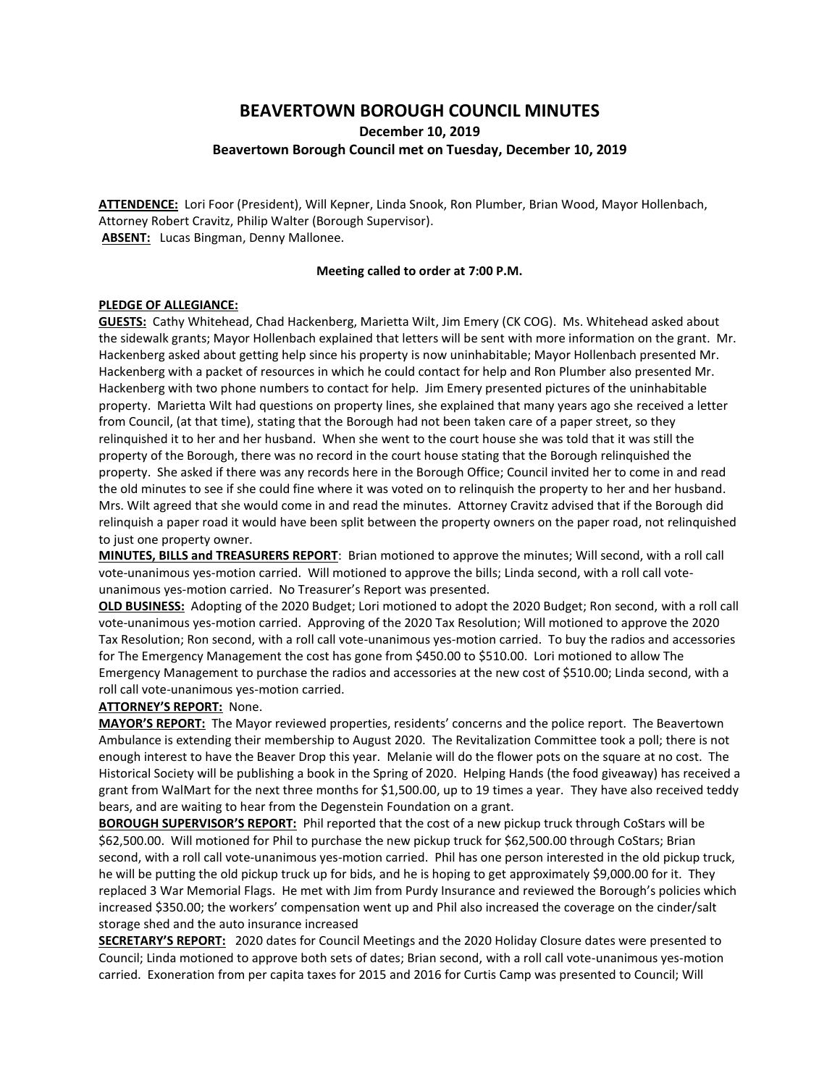# **BEAVERTOWN BOROUGH COUNCIL MINUTES December 10, 2019**

## **Beavertown Borough Council met on Tuesday, December 10, 2019**

**ATTENDENCE:** Lori Foor (President), Will Kepner, Linda Snook, Ron Plumber, Brian Wood, Mayor Hollenbach, Attorney Robert Cravitz, Philip Walter (Borough Supervisor). **ABSENT:** Lucas Bingman, Denny Mallonee.

#### **Meeting called to order at 7:00 P.M.**

#### **PLEDGE OF ALLEGIANCE:**

**GUESTS:** Cathy Whitehead, Chad Hackenberg, Marietta Wilt, Jim Emery (CK COG). Ms. Whitehead asked about the sidewalk grants; Mayor Hollenbach explained that letters will be sent with more information on the grant. Mr. Hackenberg asked about getting help since his property is now uninhabitable; Mayor Hollenbach presented Mr. Hackenberg with a packet of resources in which he could contact for help and Ron Plumber also presented Mr. Hackenberg with two phone numbers to contact for help. Jim Emery presented pictures of the uninhabitable property. Marietta Wilt had questions on property lines, she explained that many years ago she received a letter from Council, (at that time), stating that the Borough had not been taken care of a paper street, so they relinquished it to her and her husband. When she went to the court house she was told that it was still the property of the Borough, there was no record in the court house stating that the Borough relinquished the property. She asked if there was any records here in the Borough Office; Council invited her to come in and read the old minutes to see if she could fine where it was voted on to relinquish the property to her and her husband. Mrs. Wilt agreed that she would come in and read the minutes. Attorney Cravitz advised that if the Borough did relinquish a paper road it would have been split between the property owners on the paper road, not relinquished to just one property owner.

**MINUTES, BILLS and TREASURERS REPORT**: Brian motioned to approve the minutes; Will second, with a roll call vote-unanimous yes-motion carried. Will motioned to approve the bills; Linda second, with a roll call voteunanimous yes-motion carried. No Treasurer's Report was presented.

**OLD BUSINESS:** Adopting of the 2020 Budget; Lori motioned to adopt the 2020 Budget; Ron second, with a roll call vote-unanimous yes-motion carried. Approving of the 2020 Tax Resolution; Will motioned to approve the 2020 Tax Resolution; Ron second, with a roll call vote-unanimous yes-motion carried. To buy the radios and accessories for The Emergency Management the cost has gone from \$450.00 to \$510.00. Lori motioned to allow The Emergency Management to purchase the radios and accessories at the new cost of \$510.00; Linda second, with a roll call vote-unanimous yes-motion carried.

### **ATTORNEY'S REPORT:** None.

**MAYOR'S REPORT:** The Mayor reviewed properties, residents' concerns and the police report. The Beavertown Ambulance is extending their membership to August 2020. The Revitalization Committee took a poll; there is not enough interest to have the Beaver Drop this year. Melanie will do the flower pots on the square at no cost. The Historical Society will be publishing a book in the Spring of 2020. Helping Hands (the food giveaway) has received a grant from WalMart for the next three months for \$1,500.00, up to 19 times a year. They have also received teddy bears, and are waiting to hear from the Degenstein Foundation on a grant.

**BOROUGH SUPERVISOR'S REPORT:** Phil reported that the cost of a new pickup truck through CoStars will be \$62,500.00. Will motioned for Phil to purchase the new pickup truck for \$62,500.00 through CoStars; Brian second, with a roll call vote-unanimous yes-motion carried. Phil has one person interested in the old pickup truck, he will be putting the old pickup truck up for bids, and he is hoping to get approximately \$9,000.00 for it. They replaced 3 War Memorial Flags. He met with Jim from Purdy Insurance and reviewed the Borough's policies which increased \$350.00; the workers' compensation went up and Phil also increased the coverage on the cinder/salt storage shed and the auto insurance increased

**SECRETARY'S REPORT:** 2020 dates for Council Meetings and the 2020 Holiday Closure dates were presented to Council; Linda motioned to approve both sets of dates; Brian second, with a roll call vote-unanimous yes-motion carried. Exoneration from per capita taxes for 2015 and 2016 for Curtis Camp was presented to Council; Will